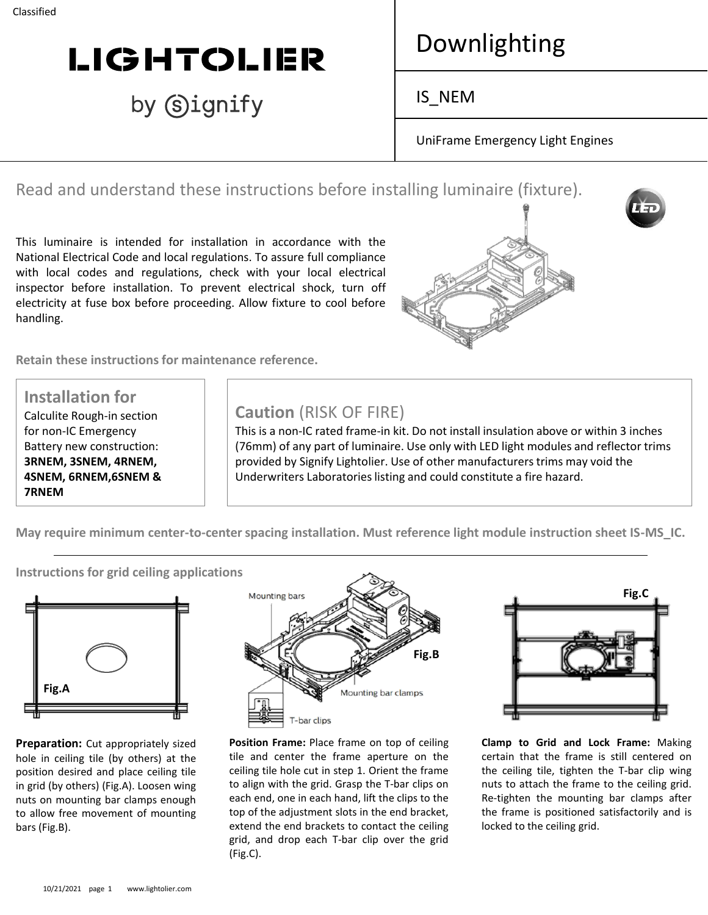# **LIGHTOLIER**

# by Signify

# Downlighting

IS\_NEM

UniFrame Emergency Light Engines

Read and understand these instructions before installing luminaire (fixture).

This luminaire is intended for installation in accordance with the National Electrical Code and local regulations. To assure full compliance with local codes and regulations, check with your local electrical inspector before installation. To prevent electrical shock, turn off electricity at fuse box before proceeding. Allow fixture to cool before handling.

**Retain these instructions for maintenance reference.**



**Installation for** Calculite Rough-in section for non-IC Emergency Battery new construction: **3RNEM, 3SNEM, 4RNEM, 4SNEM, 6RNEM,6SNEM & 7RNEM**

## **Caution** (RISK OF FIRE)

This is a non-IC rated frame-in kit. Do not install insulation above or within 3 inches (76mm) of any part of luminaire. Use only with LED light modules and reflector trims provided by Signify Lightolier. Use of other manufacturers trims may void the Underwriters Laboratories listing and could constitute a fire hazard.

**May require minimum center-to-center spacing installation. Must reference light module instruction sheet IS-MS\_IC.**

**Fig.A**

**Preparation:** Cut appropriately sized hole in ceiling tile (by others) at the position desired and place ceiling tile in grid (by others) (Fig.A). Loosen wing nuts on mounting bar clamps enough to allow free movement of mounting bars (Fig.B).



**Position Frame:** Place frame on top of ceiling tile and center the frame aperture on the ceiling tile hole cut in step 1. Orient the frame to align with the grid. Grasp the T-bar clips on each end, one in each hand, lift the clips to the top of the adjustment slots in the end bracket, extend the end brackets to contact the ceiling grid, and drop each T-bar clip over the grid (Fig.C).



**Clamp to Grid and Lock Frame:** Making certain that the frame is still centered on the ceiling tile, tighten the T-bar clip wing nuts to attach the frame to the ceiling grid. Re-tighten the mounting bar clamps after the frame is positioned satisfactorily and is locked to the ceiling grid.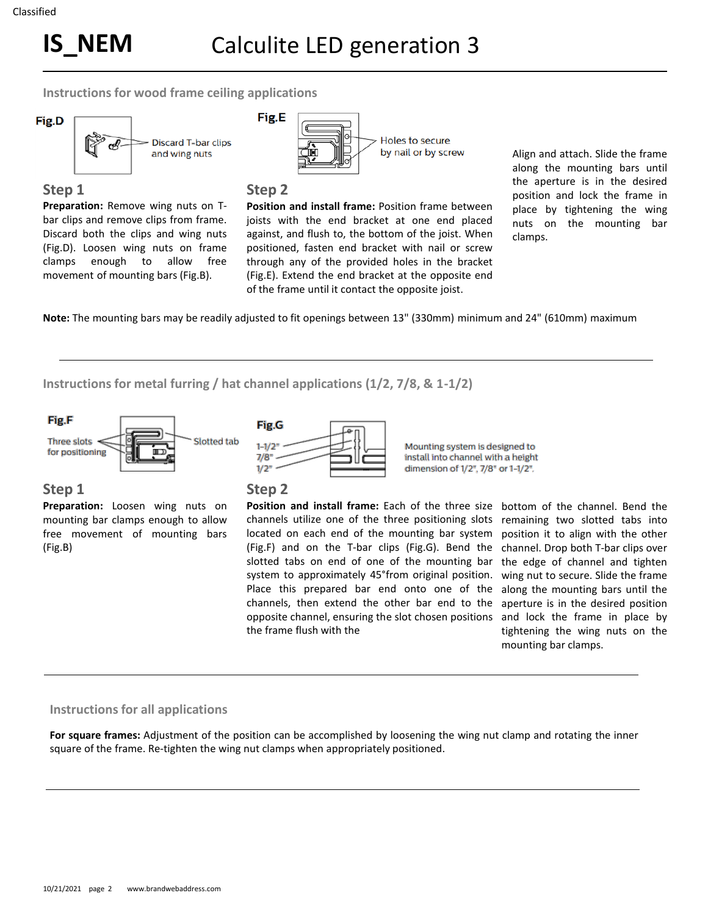**Instructions for wood frame ceiling applications** 



#### **Step 1**

**Preparation:** Remove wing nuts on Tbar clips and remove clips from frame. Discard both the clips and wing nuts (Fig.D). Loosen wing nuts on frame clamps enough to allow free movement of mounting bars (Fig.B).



#### **Step 2**

**Position and install frame:** Position frame between joists with the end bracket at one end placed against, and flush to, the bottom of the joist. When positioned, fasten end bracket with nail or screw through any of the provided holes in the bracket (Fig.E). Extend the end bracket at the opposite end of the frame until it contact the opposite joist.

Align and attach. Slide the frame along the mounting bars until the aperture is in the desired position and lock the frame in place by tightening the wing nuts on the mounting bar clamps.

**Note:** The mounting bars may be readily adjusted to fit openings between 13" (330mm) minimum and 24" (610mm) maximum

**Instructions for metal furring / hat channel applications (1/2, 7/8, & 1-1/2)**



### **Step 1**

**Preparation:** Loosen wing nuts on mounting bar clamps enough to allow free movement of mounting bars (Fig.B)



Fig.G

 $1 - 1/2$ 

 $7/8"$  $1/2"$ 

**Position and install frame:** Each of the three size channels utilize one of the three positioning slots located on each end of the mounting bar system (Fig.F) and on the T-bar clips (Fig.G). Bend the slotted tabs on end of one of the mounting bar system to approximately 45°from original position. Place this prepared bar end onto one of the channels, then extend the other bar end to the opposite channel, ensuring the slot chosen positions the frame flush with the

Mounting system is designed to

install into channel with a height

dimension of 1/2", 7/8" or 1-1/2".

bottom of the channel. Bend the remaining two slotted tabs into position it to align with the other channel. Drop both T-bar clips over the edge of channel and tighten wing nut to secure. Slide the frame along the mounting bars until the aperture is in the desired position and lock the frame in place by tightening the wing nuts on the mounting bar clamps.

#### **Instructions for all applications**

**For square frames:** Adjustment of the position can be accomplished by loosening the wing nut clamp and rotating the inner square of the frame. Re-tighten the wing nut clamps when appropriately positioned.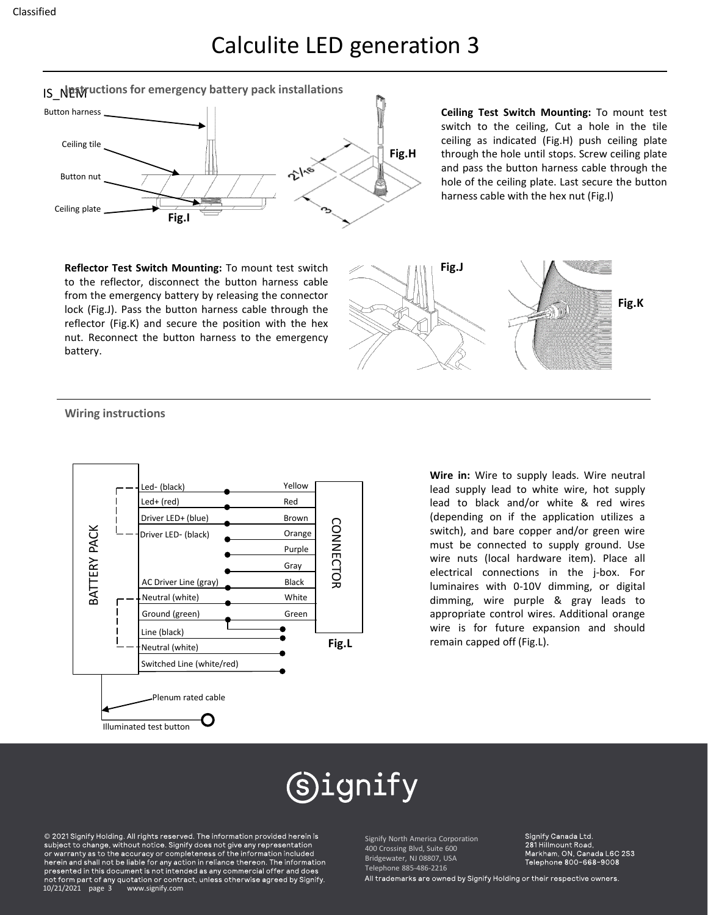# Calculite LED generation 3





**Ceiling Test Switch Mounting:** To mount test switch to the ceiling, Cut a hole in the tile ceiling as indicated (Fig.H) push ceiling plate through the hole until stops. Screw ceiling plate and pass the button harness cable through the hole of the ceiling plate. Last secure the button harness cable with the hex nut (Fig.I)

**Reflector Test Switch Mounting:** To mount test switch to the reflector, disconnect the button harness cable from the emergency battery by releasing the connector lock (Fig.J). Pass the button harness cable through the reflector (Fig.K) and secure the position with the hex nut. Reconnect the button harness to the emergency battery.



#### **Wiring instructions**



**Wire in:** Wire to supply leads. Wire neutral lead supply lead to white wire, hot supply lead to black and/or white & red wires (depending on if the application utilizes a switch), and bare copper and/or green wire must be connected to supply ground. Use wire nuts (local hardware item). Place all electrical connections in the j-box. For luminaires with 0-10V dimming, or digital dimming, wire purple & gray leads to appropriate control wires. Additional orange wire is for future expansion and should remain capped off (Fig.L).

# (S)ignify

© 2021 Signify Holding. All rights reserved. The information provided herein is subject to change, without notice. Signify does not give any representation or warranty as to the accuracy or completeness of the information included herein and shall not be liable for any action in reliance thereon. The information presented in this document is not intended as any commercial offer and does not form part of any quotation or contract, unless otherwise agreed by Signify. 10/21/2021 page 3 www.signify.com

Signify North America Corporation 400 Crossing Blvd, Suite 600 Bridgewater, NJ 08807, USA Telephone 885-486-2216

Signify Canada Ltd. 281 Hillmount Road, Markham, ON, Canada L6C 2S3 Telephone 800-668-9008

All trademarks are owned by Signify Holding or their respective owners.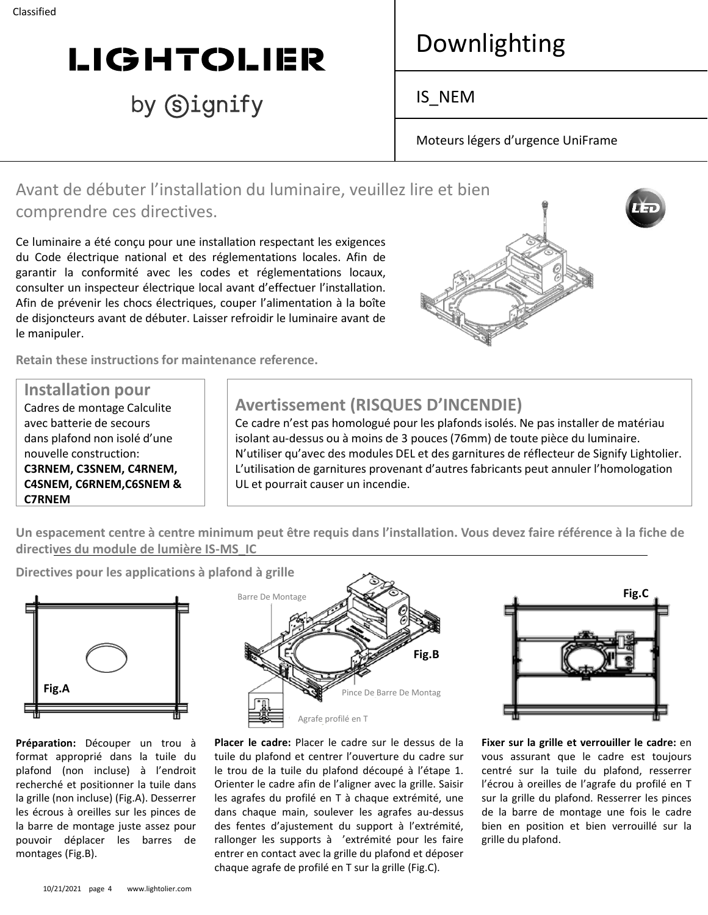# **LIGHTOLIER**

# by Signify

# Downlighting

IS\_NEM

Moteurs légers d'urgence UniFrame

## Avant de débuter l'installation du luminaire, veuillez lire et bien comprendre ces directives.

Ce luminaire a été conçu pour une installation respectant les exigences du Code électrique national et des réglementations locales. Afin de garantir la conformité avec les codes et réglementations locaux, consulter un inspecteur électrique local avant d'effectuer l'installation. Afin de prévenir les chocs électriques, couper l'alimentation à la boîte de disjoncteurs avant de débuter. Laisser refroidir le luminaire avant de le manipuler.

**Retain these instructions for maintenance reference.**

**Installation pour** Cadres de montage Calculite avec batterie de secours dans plafond non isolé d'une nouvelle construction: **C3RNEM, C3SNEM, C4RNEM, C4SNEM, C6RNEM,C6SNEM & C7RNEM**

## **Avertissement (RISQUES D'INCENDIE)**

Ce cadre n'est pas homologué pour les plafonds isolés. Ne pas installer de matériau isolant au-dessus ou à moins de 3 pouces (76mm) de toute pièce du luminaire. N'utiliser qu'avec des modules DEL et des garnitures de réflecteur de Signify Lightolier. L'utilisation de garnitures provenant d'autres fabricants peut annuler l'homologation UL et pourrait causer un incendie.

**Un espacement centre à centre minimum peut être requis dans l'installation. Vous devez faire référence à la fiche de directives du module de lumière IS-MS\_IC**

**Directives pour les applications à plafond à grille**



**Préparation:** Découper un trou à format approprié dans la tuile du plafond (non incluse) à l'endroit recherché et positionner la tuile dans la grille (non incluse) (Fig.A). Desserrer les écrous à oreilles sur les pinces de la barre de montage juste assez pour pouvoir déplacer les barres de montages (Fig.B).



**Placer le cadre:** Placer le cadre sur le dessus de la tuile du plafond et centrer l'ouverture du cadre sur le trou de la tuile du plafond découpé à l'étape 1. Orienter le cadre afin de l'aligner avec la grille. Saisir les agrafes du profilé en T à chaque extrémité, une dans chaque main, soulever les agrafes au-dessus des fentes d'ajustement du support à l'extrémité, rallonger les supports à 'extrémité pour les faire entrer en contact avec la grille du plafond et déposer chaque agrafe de profilé en T sur la grille (Fig.C).



**Fixer sur la grille et verrouiller le cadre:** en vous assurant que le cadre est toujours centré sur la tuile du plafond, resserrer l'écrou à oreilles de l'agrafe du profilé en T sur la grille du plafond. Resserrer les pinces de la barre de montage une fois le cadre bien en position et bien verrouillé sur la grille du plafond.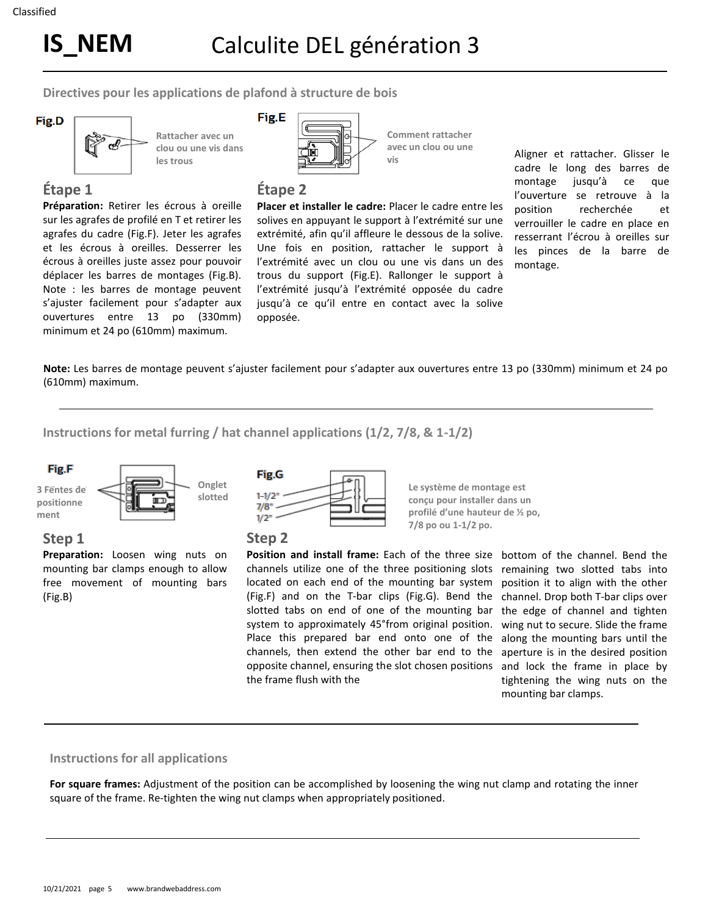**Directives pour les applications de plafond à structure de bois**



**Rattacher avec un clou ou une vis dans les trous**

Fig.E

**Comment rattacher avec un clou ou une** 

## **Étape 1**

**Préparation:** Retirer les écrous à oreille sur les agrafes de profilé en T et retirer les agrafes du cadre (Fig.F). Jeter les agrafes et les écrous à oreilles. Desserrer les écrous à oreilles juste assez pour pouvoir déplacer les barres de montages (Fig.B). Note : les barres de montage peuvent s'ajuster facilement pour s'adapter aux ouvertures entre 13 po (330mm) minimum et 24 po (610mm) maximum.



#### **Étape 2**

**Placer et installer le cadre:** Placer le cadre entre les solives en appuyant le support à l'extrémité sur une extrémité, afin qu'il affleure le dessous de la solive. Une fois en position, rattacher le support à l'extrémité avec un clou ou une vis dans un des trous du support (Fig.E). Rallonger le support à l'extrémité jusqu'à l'extrémité opposée du cadre jusqu'à ce qu'il entre en contact avec la solive opposée.

**vis**

Aligner et rattacher. Glisser le cadre le long des barres de montage jusqu'à ce que l'ouverture se retrouve à la position recherchée et verrouiller le cadre en place en resserrant l'écrou à oreilles sur les pinces de la barre de montage.

**Note:** Les barres de montage peuvent s'ajuster facilement pour s'adapter aux ouvertures entre 13 po (330mm) minimum et 24 po (610mm) maximum.

**Instructions for metal furring / hat channel applications (1/2, 7/8, & 1-1/2)**



#### **Step 1**

**Preparation:** Loosen wing nuts on mounting bar clamps enough to allow free movement of mounting bars (Fig.B)



**Step 2**

**Position and install frame:** Each of the three size channels utilize one of the three positioning slots located on each end of the mounting bar system (Fig.F) and on the T-bar clips (Fig.G). Bend the slotted tabs on end of one of the mounting bar system to approximately 45°from original position. Place this prepared bar end onto one of the channels, then extend the other bar end to the opposite channel, ensuring the slot chosen positions the frame flush with the

**Le système de montage est conçu pour installer dans un profilé d'une hauteur de ½ po, 7/8 po ou 1-1/2 po.**

> bottom of the channel. Bend the remaining two slotted tabs into position it to align with the other channel. Drop both T-bar clips over the edge of channel and tighten wing nut to secure. Slide the frame along the mounting bars until the aperture is in the desired position and lock the frame in place by tightening the wing nuts on the mounting bar clamps.

#### **Instructions for all applications**

**For square frames:** Adjustment of the position can be accomplished by loosening the wing nut clamp and rotating the inner square of the frame. Re-tighten the wing nut clamps when appropriately positioned.